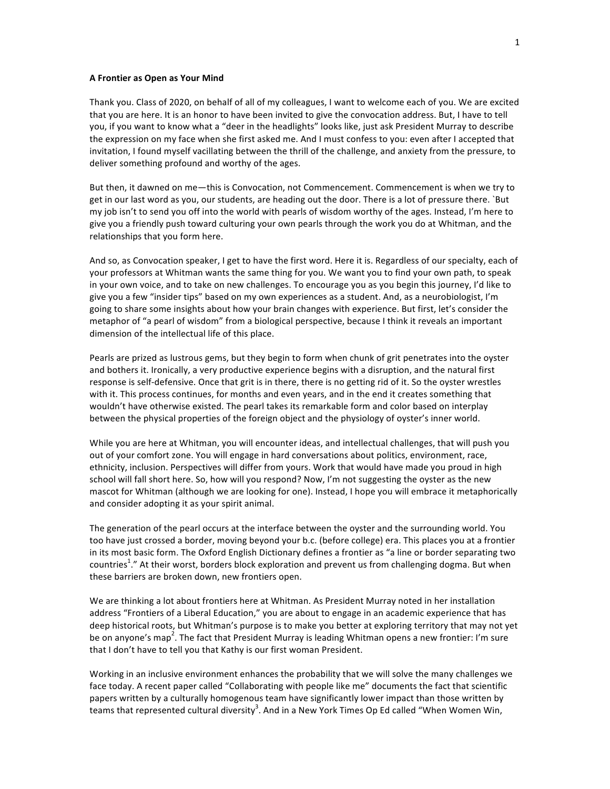## **A Frontier as Open as Your Mind**

Thank you. Class of 2020, on behalf of all of my colleagues, I want to welcome each of you. We are excited that you are here. It is an honor to have been invited to give the convocation address. But, I have to tell you, if you want to know what a "deer in the headlights" looks like, just ask President Murray to describe the expression on my face when she first asked me. And I must confess to you: even after I accepted that invitation, I found myself vacillating between the thrill of the challenge, and anxiety from the pressure, to deliver something profound and worthy of the ages.

But then, it dawned on me—this is Convocation, not Commencement. Commencement is when we try to get in our last word as you, our students, are heading out the door. There is a lot of pressure there. `But my job isn't to send you off into the world with pearls of wisdom worthy of the ages. Instead, I'm here to give you a friendly push toward culturing your own pearls through the work you do at Whitman, and the relationships that you form here.

And so, as Convocation speaker, I get to have the first word. Here it is. Regardless of our specialty, each of your professors at Whitman wants the same thing for you. We want you to find your own path, to speak in your own voice, and to take on new challenges. To encourage you as you begin this journey, I'd like to give you a few "insider tips" based on my own experiences as a student. And, as a neurobiologist, I'm going to share some insights about how your brain changes with experience. But first, let's consider the metaphor of "a pearl of wisdom" from a biological perspective, because I think it reveals an important dimension of the intellectual life of this place.

Pearls are prized as lustrous gems, but they begin to form when chunk of grit penetrates into the oyster and bothers it. Ironically, a very productive experience begins with a disruption, and the natural first response is self-defensive. Once that grit is in there, there is no getting rid of it. So the oyster wrestles with it. This process continues, for months and even years, and in the end it creates something that wouldn't have otherwise existed. The pearl takes its remarkable form and color based on interplay between the physical properties of the foreign object and the physiology of oyster's inner world.

While you are here at Whitman, you will encounter ideas, and intellectual challenges, that will push you out of your comfort zone. You will engage in hard conversations about politics, environment, race, ethnicity, inclusion. Perspectives will differ from yours. Work that would have made you proud in high school will fall short here. So, how will you respond? Now, I'm not suggesting the oyster as the new mascot for Whitman (although we are looking for one). Instead, I hope you will embrace it metaphorically and consider adopting it as your spirit animal.

The generation of the pearl occurs at the interface between the oyster and the surrounding world. You too have just crossed a border, moving beyond your b.c. (before college) era. This places you at a frontier in its most basic form. The Oxford English Dictionary defines a frontier as "a line or border separating two countries<sup>1</sup>." At their worst, borders block exploration and prevent us from challenging dogma. But when these barriers are broken down, new frontiers open.

We are thinking a lot about frontiers here at Whitman. As President Murray noted in her installation address "Frontiers of a Liberal Education," you are about to engage in an academic experience that has deep historical roots, but Whitman's purpose is to make you better at exploring territory that may not yet be on anyone's map<sup>2</sup>. The fact that President Murray is leading Whitman opens a new frontier: I'm sure that I don't have to tell you that Kathy is our first woman President.

Working in an inclusive environment enhances the probability that we will solve the many challenges we face today. A recent paper called "Collaborating with people like me" documents the fact that scientific papers written by a culturally homogenous team have significantly lower impact than those written by teams that represented cultural diversity<sup>3</sup>. And in a New York Times Op Ed called "When Women Win,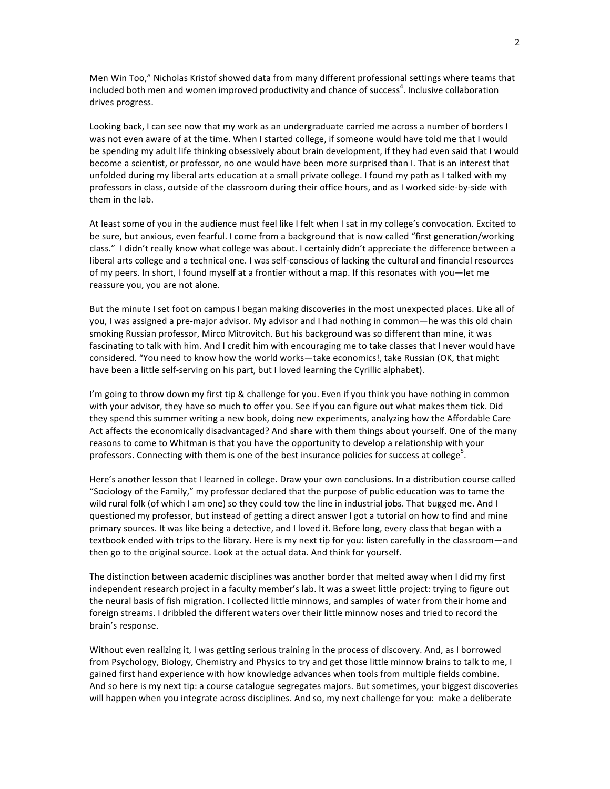Men Win Too," Nicholas Kristof showed data from many different professional settings where teams that included both men and women improved productivity and chance of success<sup>4</sup>. Inclusive collaboration drives progress.

Looking back, I can see now that my work as an undergraduate carried me across a number of borders I was not even aware of at the time. When I started college, if someone would have told me that I would be spending my adult life thinking obsessively about brain development, if they had even said that I would become a scientist, or professor, no one would have been more surprised than I. That is an interest that unfolded during my liberal arts education at a small private college. I found my path as I talked with my professors in class, outside of the classroom during their office hours, and as I worked side-by-side with them in the lab.

At least some of you in the audience must feel like I felt when I sat in my college's convocation. Excited to be sure, but anxious, even fearful. I come from a background that is now called "first generation/working class." I didn't really know what college was about. I certainly didn't appreciate the difference between a liberal arts college and a technical one. I was self-conscious of lacking the cultural and financial resources of my peers. In short, I found myself at a frontier without a map. If this resonates with you—let me reassure you, you are not alone.

But the minute I set foot on campus I began making discoveries in the most unexpected places. Like all of you, I was assigned a pre-major advisor. My advisor and I had nothing in common—he was this old chain smoking Russian professor, Mirco Mitrovitch. But his background was so different than mine, it was fascinating to talk with him. And I credit him with encouraging me to take classes that I never would have considered. "You need to know how the world works—take economics!, take Russian (OK, that might have been a little self-serving on his part, but I loved learning the Cyrillic alphabet).

I'm going to throw down my first tip & challenge for you. Even if you think you have nothing in common with your advisor, they have so much to offer you. See if you can figure out what makes them tick. Did they spend this summer writing a new book, doing new experiments, analyzing how the Affordable Care Act affects the economically disadvantaged? And share with them things about yourself. One of the many reasons to come to Whitman is that you have the opportunity to develop a relationship with your professors. Connecting with them is one of the best insurance policies for success at college<sup>5</sup>.

Here's another lesson that I learned in college. Draw your own conclusions. In a distribution course called "Sociology of the Family," my professor declared that the purpose of public education was to tame the wild rural folk (of which I am one) so they could tow the line in industrial jobs. That bugged me. And I questioned my professor, but instead of getting a direct answer I got a tutorial on how to find and mine primary sources. It was like being a detective, and I loved it. Before long, every class that began with a textbook ended with trips to the library. Here is my next tip for you: listen carefully in the classroom—and then go to the original source. Look at the actual data. And think for yourself.

The distinction between academic disciplines was another border that melted away when I did my first independent research project in a faculty member's lab. It was a sweet little project: trying to figure out the neural basis of fish migration. I collected little minnows, and samples of water from their home and foreign streams. I dribbled the different waters over their little minnow noses and tried to record the brain's response.

Without even realizing it, I was getting serious training in the process of discovery. And, as I borrowed from Psychology, Biology, Chemistry and Physics to try and get those little minnow brains to talk to me, I gained first hand experience with how knowledge advances when tools from multiple fields combine. And so here is my next tip: a course catalogue segregates majors. But sometimes, your biggest discoveries will happen when you integrate across disciplines. And so, my next challenge for you: make a deliberate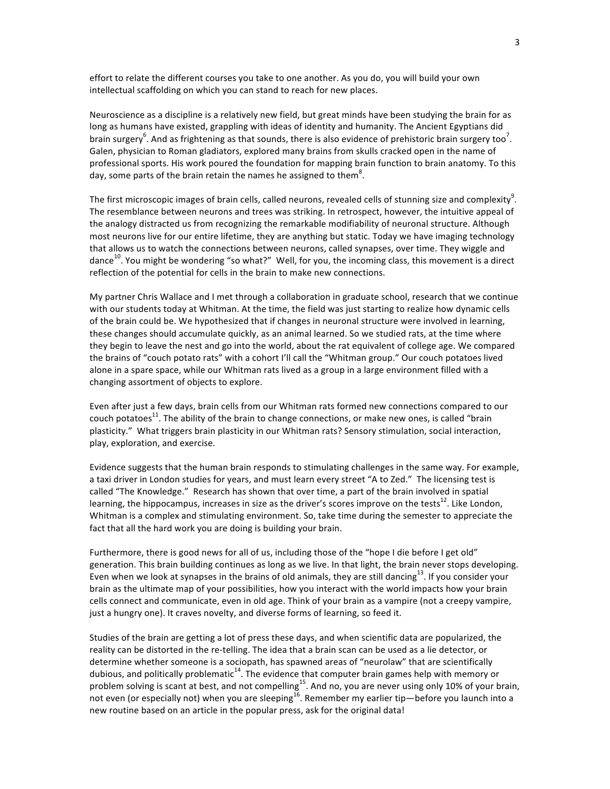effort to relate the different courses you take to one another. As you do, you will build your own intellectual scaffolding on which you can stand to reach for new places.

Neuroscience as a discipline is a relatively new field, but great minds have been studying the brain for as long as humans have existed, grappling with ideas of identity and humanity. The Ancient Egyptians did brain surgery<sup>6</sup>. And as frightening as that sounds, there is also evidence of prehistoric brain surgery too<sup>7</sup>. Galen, physician to Roman gladiators, explored many brains from skulls cracked open in the name of professional sports. His work poured the foundation for mapping brain function to brain anatomy. To this day, some parts of the brain retain the names he assigned to them<sup>8</sup>.

The first microscopic images of brain cells, called neurons, revealed cells of stunning size and complexity $^9$ . The resemblance between neurons and trees was striking. In retrospect, however, the intuitive appeal of the analogy distracted us from recognizing the remarkable modifiability of neuronal structure. Although most neurons live for our entire lifetime, they are anything but static. Today we have imaging technology that allows us to watch the connections between neurons, called synapses, over time. They wiggle and dance<sup>10</sup>. You might be wondering "so what?" Well, for you, the incoming class, this movement is a direct reflection of the potential for cells in the brain to make new connections.

My partner Chris Wallace and I met through a collaboration in graduate school, research that we continue with our students today at Whitman. At the time, the field was just starting to realize how dynamic cells of the brain could be. We hypothesized that if changes in neuronal structure were involved in learning, these changes should accumulate quickly, as an animal learned. So we studied rats, at the time where they begin to leave the nest and go into the world, about the rat equivalent of college age. We compared the brains of "couch potato rats" with a cohort I'll call the "Whitman group." Our couch potatoes lived alone in a spare space, while our Whitman rats lived as a group in a large environment filled with a changing assortment of objects to explore.

Even after just a few days, brain cells from our Whitman rats formed new connections compared to our couch potatoes<sup>11</sup>. The ability of the brain to change connections, or make new ones, is called "brain" plasticity." What triggers brain plasticity in our Whitman rats? Sensory stimulation, social interaction, play, exploration, and exercise.

Evidence suggests that the human brain responds to stimulating challenges in the same way. For example, a taxi driver in London studies for years, and must learn every street "A to Zed." The licensing test is called "The Knowledge." Research has shown that over time, a part of the brain involved in spatial learning, the hippocampus, increases in size as the driver's scores improve on the tests $^{12}$ . Like London, Whitman is a complex and stimulating environment. So, take time during the semester to appreciate the fact that all the hard work you are doing is building your brain.

Furthermore, there is good news for all of us, including those of the "hope I die before I get old" generation. This brain building continues as long as we live. In that light, the brain never stops developing. Even when we look at synapses in the brains of old animals, they are still dancing $^{13}$ . If you consider your brain as the ultimate map of your possibilities, how you interact with the world impacts how your brain cells connect and communicate, even in old age. Think of your brain as a vampire (not a creepy vampire, just a hungry one). It craves novelty, and diverse forms of learning, so feed it.

Studies of the brain are getting a lot of press these days, and when scientific data are popularized, the reality can be distorted in the re-telling. The idea that a brain scan can be used as a lie detector, or determine whether someone is a sociopath, has spawned areas of "neurolaw" that are scientifically dubious, and politically problematic<sup>14</sup>. The evidence that computer brain games help with memory or problem solving is scant at best, and not compelling<sup>15</sup>. And no, you are never using only 10% of your brain, not even (or especially not) when you are sleeping $^{16}$ . Remember my earlier tip—before you launch into a new routine based on an article in the popular press, ask for the original data!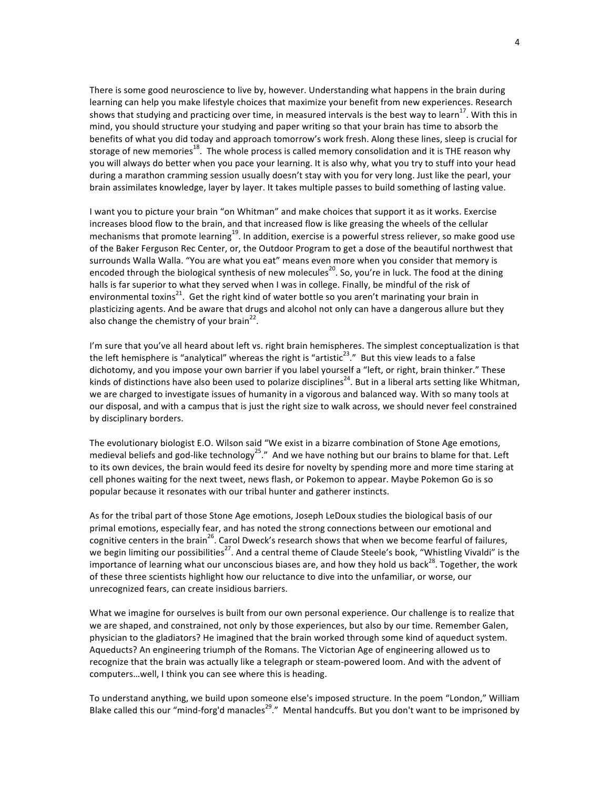There is some good neuroscience to live by, however. Understanding what happens in the brain during learning can help you make lifestyle choices that maximize your benefit from new experiences. Research shows that studying and practicing over time, in measured intervals is the best way to learn<sup>17</sup>. With this in mind, you should structure your studying and paper writing so that your brain has time to absorb the benefits of what you did today and approach tomorrow's work fresh. Along these lines, sleep is crucial for storage of new memories<sup>18</sup>. The whole process is called memory consolidation and it is THE reason why you will always do better when you pace your learning. It is also why, what you try to stuff into your head during a marathon cramming session usually doesn't stay with you for very long. Just like the pearl, your brain assimilates knowledge, layer by layer. It takes multiple passes to build something of lasting value.

I want you to picture your brain "on Whitman" and make choices that support it as it works. Exercise increases blood flow to the brain, and that increased flow is like greasing the wheels of the cellular mechanisms that promote learning<sup>19</sup>. In addition, exercise is a powerful stress reliever, so make good use of the Baker Ferguson Rec Center, or, the Outdoor Program to get a dose of the beautiful northwest that surrounds Walla Walla. "You are what you eat" means even more when you consider that memory is encoded through the biological synthesis of new molecules<sup>20</sup>. So, you're in luck. The food at the dining halls is far superior to what they served when I was in college. Finally, be mindful of the risk of environmental toxins<sup>21</sup>. Get the right kind of water bottle so you aren't marinating your brain in plasticizing agents. And be aware that drugs and alcohol not only can have a dangerous allure but they also change the chemistry of your brain<sup>22</sup>.

I'm sure that you've all heard about left vs. right brain hemispheres. The simplest conceptualization is that the left hemisphere is "analytical" whereas the right is "artistic<sup>23</sup>." But this view leads to a false dichotomy, and you impose your own barrier if you label yourself a "left, or right, brain thinker." These kinds of distinctions have also been used to polarize disciplines<sup>24</sup>. But in a liberal arts setting like Whitman, we are charged to investigate issues of humanity in a vigorous and balanced way. With so many tools at our disposal, and with a campus that is just the right size to walk across, we should never feel constrained by disciplinary borders.

The evolutionary biologist E.O. Wilson said "We exist in a bizarre combination of Stone Age emotions, medieval beliefs and god-like technology<sup>25</sup>." And we have nothing but our brains to blame for that. Left to its own devices, the brain would feed its desire for novelty by spending more and more time staring at cell phones waiting for the next tweet, news flash, or Pokemon to appear. Maybe Pokemon Go is so popular because it resonates with our tribal hunter and gatherer instincts.

As for the tribal part of those Stone Age emotions, Joseph LeDoux studies the biological basis of our primal emotions, especially fear, and has noted the strong connections between our emotional and cognitive centers in the brain<sup>26</sup>. Carol Dweck's research shows that when we become fearful of failures, we begin limiting our possibilities<sup>27</sup>. And a central theme of Claude Steele's book, "Whistling Vivaldi" is the importance of learning what our unconscious biases are, and how they hold us back<sup>28</sup>. Together, the work of these three scientists highlight how our reluctance to dive into the unfamiliar, or worse, our unrecognized fears, can create insidious barriers.

What we imagine for ourselves is built from our own personal experience. Our challenge is to realize that we are shaped, and constrained, not only by those experiences, but also by our time. Remember Galen, physician to the gladiators? He imagined that the brain worked through some kind of aqueduct system. Aqueducts? An engineering triumph of the Romans. The Victorian Age of engineering allowed us to recognize that the brain was actually like a telegraph or steam-powered loom. And with the advent of computers…well, I think you can see where this is heading.

To understand anything, we build upon someone else's imposed structure. In the poem "London," William Blake called this our "mind-forg'd manacles<sup>29</sup>." Mental handcuffs. But you don't want to be imprisoned by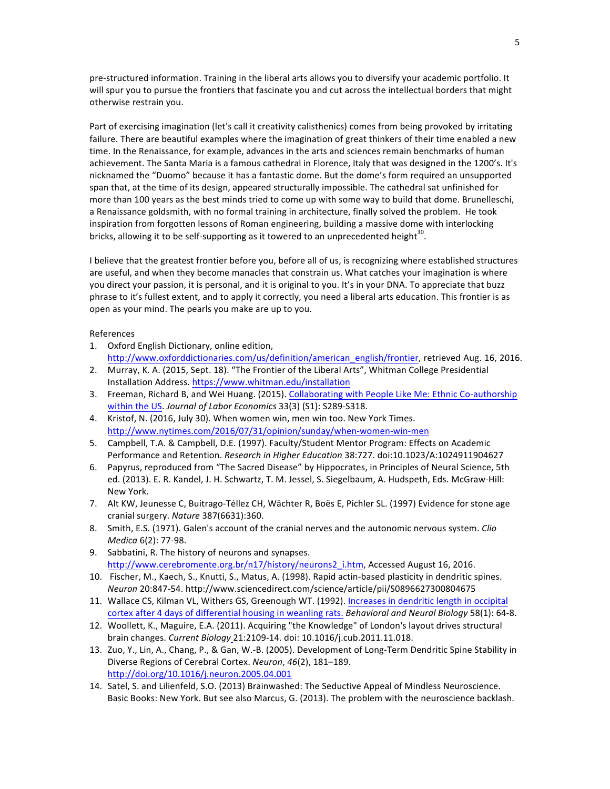pre-structured information. Training in the liberal arts allows you to diversify your academic portfolio. It will spur you to pursue the frontiers that fascinate you and cut across the intellectual borders that might otherwise restrain you.

Part of exercising imagination (let's call it creativity calisthenics) comes from being provoked by irritating failure. There are beautiful examples where the imagination of great thinkers of their time enabled a new time. In the Renaissance, for example, advances in the arts and sciences remain benchmarks of human achievement. The Santa Maria is a famous cathedral in Florence, Italy that was designed in the 1200's. It's nicknamed the "Duomo" because it has a fantastic dome. But the dome's form required an unsupported span that, at the time of its design, appeared structurally impossible. The cathedral sat unfinished for more than 100 years as the best minds tried to come up with some way to build that dome. Brunelleschi, a Renaissance goldsmith, with no formal training in architecture, finally solved the problem. He took inspiration from forgotten lessons of Roman engineering, building a massive dome with interlocking bricks, allowing it to be self-supporting as it towered to an unprecedented height<sup>30</sup>.

I believe that the greatest frontier before you, before all of us, is recognizing where established structures are useful, and when they become manacles that constrain us. What catches your imagination is where you direct your passion, it is personal, and it is original to you. It's in your DNA. To appreciate that buzz phrase to it's fullest extent, and to apply it correctly, you need a liberal arts education. This frontier is as open as your mind. The pearls you make are up to you.

## References

- 1. Oxford English Dictionary, online edition, http://www.oxforddictionaries.com/us/definition/american\_english/frontier, retrieved Aug. 16, 2016.
- 2. Murray, K. A. (2015, Sept. 18). "The Frontier of the Liberal Arts", Whitman College Presidential Installation Address. https://www.whitman.edu/installation
- 3. Freeman, Richard B, and Wei Huang. (2015). Collaborating with People Like Me: Ethnic Co-authorship within the US. Journal of Labor Economics 33(3) (S1): S289-S318.
- 4. Kristof, N. (2016, July 30). When women win, men win too. New York Times. http://www.nytimes.com/2016/07/31/opinion/sunday/when-women-win-men
- 5. Campbell, T.A. & Campbell, D.E. (1997). Faculty/Student Mentor Program: Effects on Academic Performance and Retention. Research in Higher Education 38:727. doi:10.1023/A:1024911904627
- 6. Papyrus, reproduced from "The Sacred Disease" by Hippocrates, in Principles of Neural Science, 5th ed. (2013). E. R. Kandel, J. H. Schwartz, T. M. Jessel, S. Siegelbaum, A. Hudspeth, Eds. McGraw-Hill: New York.
- 7. Alt KW, Jeunesse C, Buitrago-Téllez CH, Wächter R, Boës E, Pichler SL. (1997) Evidence for stone age cranial surgery. *Nature* 387(6631):360.
- 8. Smith, E.S. (1971). Galen's account of the cranial nerves and the autonomic nervous system. *Clio Medica* 6(2): 77-98.
- 9. Sabbatini, R. The history of neurons and synapses. http://www.cerebromente.org.br/n17/history/neurons2\_i.htm, Accessed August 16, 2016.
- 10. Fischer, M., Kaech, S., Knutti, S., Matus, A. (1998). Rapid actin-based plasticity in dendritic spines. *Neuron* 20:847-54. http://www.sciencedirect.com/science/article/pii/S0896627300804675
- 11. Wallace CS, Kilman VL, Withers GS, Greenough WT. (1992). Increases in dendritic length in occipital cortex after 4 days of differential housing in weanling rats. *Behavioral and Neural Biology* 58(1): 64-8.
- 12. Woollett, K., Maguire, E.A. (2011). Acquiring "the Knowledge" of London's layout drives structural brain changes. *Current Biology* 21:2109-14. doi: 10.1016/j.cub.2011.11.018.
- 13. Zuo, Y., Lin, A., Chang, P., & Gan, W.-B. (2005). Development of Long-Term Dendritic Spine Stability in Diverse Regions of Cerebral Cortex. *Neuron*, 46(2), 181-189. http://doi.org/10.1016/j.neuron.2005.04.001
- 14. Satel, S. and Lilienfeld, S.O. (2013) Brainwashed: The Seductive Appeal of Mindless Neuroscience. Basic Books: New York. But see also Marcus, G. (2013). The problem with the neuroscience backlash.